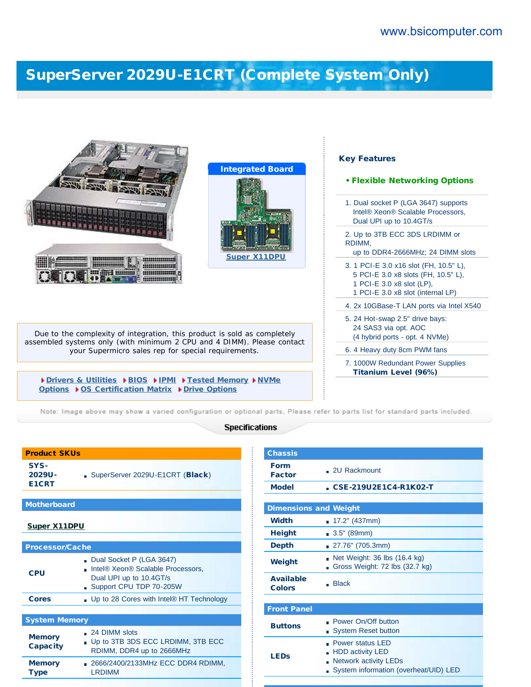## [SuperServer 2029U-E1CRT \(Complete System Only\)](http://www.bsicomputer.com/products/2029u-e1cr4-16377)

|                                                                                                                               | <b>Integrated Board</b>                                                                   | <b>Key Features</b>                                                                                                                             |
|-------------------------------------------------------------------------------------------------------------------------------|-------------------------------------------------------------------------------------------|-------------------------------------------------------------------------------------------------------------------------------------------------|
|                                                                                                                               |                                                                                           | • Flexible Networking Options<br>1. Dual socket P (LGA 3647) supports<br>Intel® Xeon® Scalable Processors,<br>Dual UPI up to 10.4GT/s           |
|                                                                                                                               | <b>Super X11DPU</b>                                                                       | 2. Up to 3TB ECC 3DS LRDIMM or<br>RDIMM,<br>up to DDR4-2666MHz; 24 DIMM slots                                                                   |
| <b>Million Service</b>                                                                                                        |                                                                                           | 3. 1 PCI-E 3.0 x16 slot (FH, 10.5" L),<br>5 PCI-E 3.0 x8 slots (FH, 10.5" L),<br>1 PCI-E 3.0 x8 slot (LP),<br>1 PCI-E 3.0 x8 slot (internal LP) |
|                                                                                                                               | 4. 2x 10GBase-T LAN ports via Intel X540                                                  |                                                                                                                                                 |
| Due to the complexity of integration, this product is sold as completely                                                      | 5. 24 Hot-swap 2.5" drive bays:<br>24 SAS3 via opt. AOC<br>(4 hybrid ports - opt. 4 NVMe) |                                                                                                                                                 |
| assembled systems only (with minimum 2 CPU and 4 DIMM). Please contact<br>your Supermicro sales rep for special requirements. | 6. 4 Heavy duty 8cm PWM fans                                                              |                                                                                                                                                 |
|                                                                                                                               | 7. 1000W Redundant Power Supplies<br><b>Titanium Level (96%)</b>                          |                                                                                                                                                 |
| Drivers & Utilities DBIOS DIPMI DFested Memory DNVMe<br>Options ▶ OS Certification Matrix ▶ Drive Options                     |                                                                                           |                                                                                                                                                 |

Note: Image above may show a varied configuration or optional parts, Please refer to parts list for standard parts included.

## **Specifications**

| 2029U-<br>E1CRT                  | SuperServer 2029U-E1CRT (Black)                                                                                                             |  |  |
|----------------------------------|---------------------------------------------------------------------------------------------------------------------------------------------|--|--|
|                                  |                                                                                                                                             |  |  |
| <b>Motherboard</b>               |                                                                                                                                             |  |  |
| <b>Super X11DPU</b>              |                                                                                                                                             |  |  |
| <b>Processor/Cache</b>           |                                                                                                                                             |  |  |
| <b>CPU</b>                       | Dual Socket P (LGA 3647)<br>Intel <sup>®</sup> Xeon <sup>®</sup> Scalable Processors,<br>Dual UPI up to 10.4GT/s<br>Support CPU TDP 70-205W |  |  |
| <b>Cores</b>                     | . Up to 28 Cores with Intel® HT Technology                                                                                                  |  |  |
|                                  |                                                                                                                                             |  |  |
| <b>System Memory</b>             |                                                                                                                                             |  |  |
| <b>Memory</b><br><b>Capacity</b> | $\Box$ 24 DIMM slots<br>- Up to 3TB 3DS ECC LRDIMM, 3TB ECC<br>RDIMM, DDR4 up to 2666MHz                                                    |  |  |
| <b>Memory</b><br><b>Type</b>     | 2666/2400/2133MHz ECC DDR4 RDIMM,<br><b>LRDIMM</b>                                                                                          |  |  |

Product SKUs

SYS-

| <b>Chassis</b>                    |                                                                                                                             |  |  |  |
|-----------------------------------|-----------------------------------------------------------------------------------------------------------------------------|--|--|--|
| <b>Form</b><br><b>Factor</b>      | . 2U Rackmount                                                                                                              |  |  |  |
| <b>Model</b>                      | CSE-219U2E1C4-R1K02-T                                                                                                       |  |  |  |
|                                   |                                                                                                                             |  |  |  |
| <b>Dimensions and Weight</b>      |                                                                                                                             |  |  |  |
| <b>Width</b>                      | $\blacksquare$ 17.2" (437mm)                                                                                                |  |  |  |
| <b>Height</b>                     | $\blacksquare$ 3.5" (89mm)                                                                                                  |  |  |  |
| <b>Depth</b>                      | 27.76" (705.3mm)                                                                                                            |  |  |  |
| Weight                            | Net Weight: 36 lbs (16.4 kg)<br>Gross Weight: 72 lbs (32.7 kg)                                                              |  |  |  |
| <b>Available</b><br><b>Colors</b> | <b>Black</b>                                                                                                                |  |  |  |
|                                   |                                                                                                                             |  |  |  |
| <b>Front Panel</b>                |                                                                                                                             |  |  |  |
| <b>Buttons</b>                    | Power On/Off button<br><b>System Reset button</b>                                                                           |  |  |  |
| <b>LEDs</b>                       | <b>Power status LED</b><br><b>HDD activity LED</b><br><b>Network activity LEDs</b><br>System information (overheat/UID) LED |  |  |  |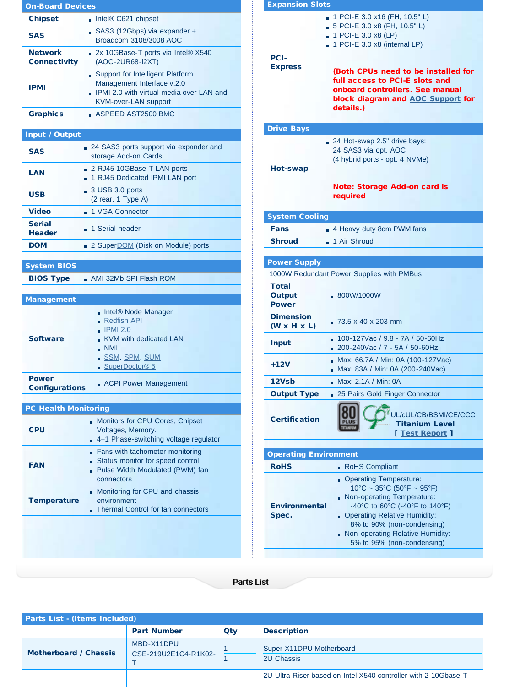| <b>On-Board Devices</b>               |                                                                                                                                                   |  |  |  |
|---------------------------------------|---------------------------------------------------------------------------------------------------------------------------------------------------|--|--|--|
| <b>Chipset</b>                        | Intel® C621 chipset                                                                                                                               |  |  |  |
| <b>SAS</b>                            | SAS3 (12Gbps) via expander +<br>Broadcom 3108/3008 AOC                                                                                            |  |  |  |
| <b>Network</b><br><b>Connectivity</b> | 2x 10GBase-T ports via Intel® X540<br>(AOC-2UR68-i2XT)                                                                                            |  |  |  |
| <b>IPMI</b>                           | Support for Intelligent Platform<br>Management Interface v.2.0<br>. IPMI 2.0 with virtual media over LAN and<br><b>KVM-over-LAN support</b>       |  |  |  |
| <b>Graphics</b>                       | $\blacksquare$ ASPEED AST2500 BMC                                                                                                                 |  |  |  |
| Input / Output                        |                                                                                                                                                   |  |  |  |
| <b>SAS</b>                            | 24 SAS3 ports support via expander and<br>storage Add-on Cards                                                                                    |  |  |  |
| LAN                                   | 2 RJ45 10GBase-T LAN ports<br>1 RJ45 Dedicated IPMI LAN port                                                                                      |  |  |  |
| USB                                   | $\Box$ 3 USB 3.0 ports<br>(2 rear, 1 Type A)                                                                                                      |  |  |  |
| <b>Video</b>                          | ■ 1 VGA Connector                                                                                                                                 |  |  |  |
| <b>Serial</b><br><b>Header</b>        | 1 Serial header                                                                                                                                   |  |  |  |
| <b>DOM</b>                            | 2 Super DOM (Disk on Module) ports                                                                                                                |  |  |  |
| <b>System BIOS</b>                    |                                                                                                                                                   |  |  |  |
| <b>BIOS Type</b>                      | AMI 32Mb SPI Flash ROM                                                                                                                            |  |  |  |
|                                       |                                                                                                                                                   |  |  |  |
| <b>Management</b>                     |                                                                                                                                                   |  |  |  |
| <b>Software</b>                       | Intel® Node Manager<br><u>∎ Redfish API</u><br>$\blacksquare$ IPMI 2.0<br>KVM with dedicated LAN<br><b>NMI</b><br>SSM, SPM, SUM<br>SuperDoctor® 5 |  |  |  |
| <b>Power</b><br><b>Configurations</b> | <b>ACPI Power Management</b>                                                                                                                      |  |  |  |
|                                       |                                                                                                                                                   |  |  |  |
| <b>PC Health Monitoring</b>           |                                                                                                                                                   |  |  |  |
| <b>CPU</b>                            | Monitors for CPU Cores, Chipset<br>Voltages, Memory.<br>4+1 Phase-switching voltage regulator                                                     |  |  |  |
| <b>FAN</b>                            | Fans with tachometer monitoring<br>Status monitor for speed control<br>Pulse Width Modulated (PWM) fan<br>connectors                              |  |  |  |
| <b>Temperature</b>                    | Monitoring for CPU and chassis<br>environment<br>Thermal Control for fan connectors                                                               |  |  |  |
|                                       |                                                                                                                                                   |  |  |  |

| <b>Expansion Slots</b>                      |                                                                                                                                                                                                                                                                                                   |  |  |
|---------------------------------------------|---------------------------------------------------------------------------------------------------------------------------------------------------------------------------------------------------------------------------------------------------------------------------------------------------|--|--|
| <b>PCI-</b><br><b>Express</b>               | 1 PCI-E 3.0 x16 (FH, 10.5" L)<br>5 PCI-E 3.0 x8 (FH, 10.5" L)<br>1 PCI-E 3.0 x8 (LP)<br>$\blacksquare$ 1 PCI-E 3.0 x8 (internal LP)<br>(Both CPUs need to be installed for<br>full access to PCI-E slots and<br>onboard controllers. See manual<br>block diagram and AOC Support for<br>details.) |  |  |
|                                             |                                                                                                                                                                                                                                                                                                   |  |  |
| <b>Drive Bays</b><br>Hot-swap               | 24 Hot-swap 2.5" drive bays:<br>24 SAS3 via opt. AOC<br>(4 hybrid ports - opt. 4 NVMe)                                                                                                                                                                                                            |  |  |
|                                             | <b>Note: Storage Add-on card is</b><br>required                                                                                                                                                                                                                                                   |  |  |
|                                             |                                                                                                                                                                                                                                                                                                   |  |  |
| <b>System Cooling</b>                       |                                                                                                                                                                                                                                                                                                   |  |  |
| Fans                                        | 4 Heavy duty 8cm PWM fans                                                                                                                                                                                                                                                                         |  |  |
| <b>Shroud</b>                               | 1 Air Shroud                                                                                                                                                                                                                                                                                      |  |  |
| <b>Power Supply</b>                         |                                                                                                                                                                                                                                                                                                   |  |  |
|                                             | 1000W Redundant Power Supplies with PMBus                                                                                                                                                                                                                                                         |  |  |
| Total<br><b>Output</b><br><b>Power</b>      | ■ 800W/1000W                                                                                                                                                                                                                                                                                      |  |  |
| <b>Dimension</b><br>$(W \times H \times L)$ | $-73.5 \times 40 \times 203$ mm                                                                                                                                                                                                                                                                   |  |  |
| <b>Input</b>                                | 100-127Vac / 9.8 - 7A / 50-60Hz<br>$200 - 240$ Vac / 7 - 5A / 50-60Hz                                                                                                                                                                                                                             |  |  |
| +12V                                        | Max: 66.7A / Min: 0A (100-127Vac)<br>Max: 83A / Min: 0A (200-240Vac)                                                                                                                                                                                                                              |  |  |
| 12Vsb                                       | Max: 2.1A / Min: 0A                                                                                                                                                                                                                                                                               |  |  |
| <b>Output Type</b>                          | 25 Pairs Gold Finger Connector                                                                                                                                                                                                                                                                    |  |  |
| <b>Certification</b>                        | UL/cUL/CB/BSMI/CE/CCC<br><b>Titanium Level</b><br>[ Test Report ]                                                                                                                                                                                                                                 |  |  |
| <b>Operating Environment</b>                |                                                                                                                                                                                                                                                                                                   |  |  |
| <b>RoHS</b>                                 | RoHS Compliant                                                                                                                                                                                                                                                                                    |  |  |
| <b>Environmental</b><br>Spec.               | <b>Operating Temperature:</b><br>$10^{\circ}$ C ~ 35°C (50°F ~ 95°F)<br>Non-operating Temperature:<br>-40°C to 60°C (-40°F to 140°F)<br><b>Operating Relative Humidity:</b><br>8% to 90% (non-condensing)<br>Non-operating Relative Humidity:<br>5% to 95% (non-condensing)                       |  |  |

## Parts List

| <b>Parts List - (Items Included)</b> |                                    |     |                                                                |
|--------------------------------------|------------------------------------|-----|----------------------------------------------------------------|
|                                      | <b>Part Number</b>                 | Qty | <b>Description</b>                                             |
| Motherboard / Chassis                | MBD-X11DPU<br>CSE-219U2E1C4-R1K02- |     | Super X11DPU Motherboard<br><b>2U Chassis</b>                  |
|                                      |                                    |     | 2U Ultra Riser based on Intel X540 controller with 2 10Gbase-T |